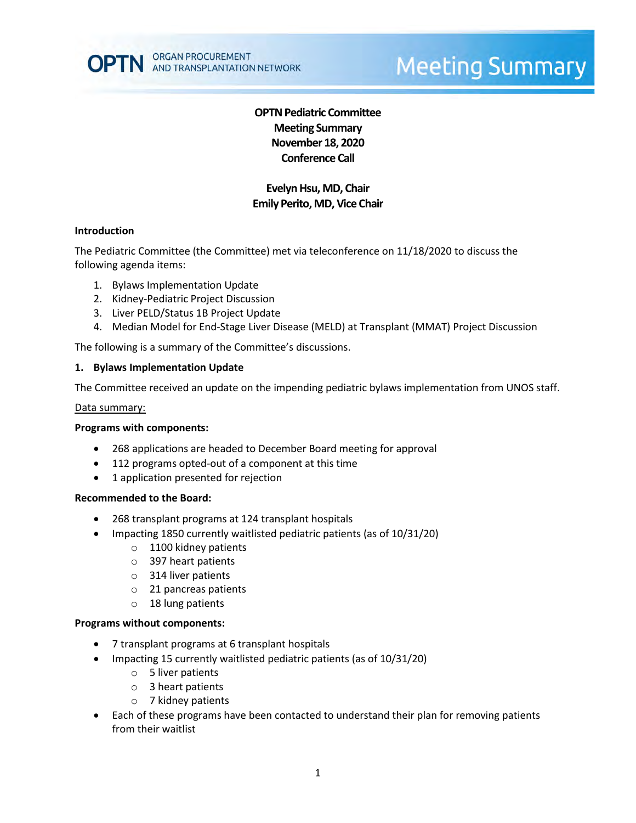

# **Meeting Summary**

# **OPTN Pediatric Committee Meeting Summary November 18, 2020 Conference Call**

## **Evelyn Hsu, MD, Chair Emily Perito, MD, Vice Chair**

#### **Introduction**

The Pediatric Committee (the Committee) met via teleconference on 11/18/2020 to discuss the following agenda items:

- 1. Bylaws Implementation Update
- 2. Kidney-Pediatric Project Discussion
- 3. Liver PELD/Status 1B Project Update
- 4. Median Model for End-Stage Liver Disease (MELD) at Transplant (MMAT) Project Discussion

The following is a summary of the Committee's discussions.

#### **1. Bylaws Implementation Update**

The Committee received an update on the impending pediatric bylaws implementation from UNOS staff.

#### Data summary:

#### **Programs with components:**

- 268 applications are headed to December Board meeting for approval
- 112 programs opted-out of a component at this time
- 1 application presented for rejection

#### **Recommended to the Board:**

- 268 transplant programs at 124 transplant hospitals
- Impacting 1850 currently waitlisted pediatric patients (as of 10/31/20)
	- o 1100 kidney patients
	- o 397 heart patients
	- o 314 liver patients
	- o 21 pancreas patients
	- o 18 lung patients

#### **Programs without components:**

- 7 transplant programs at 6 transplant hospitals
- Impacting 15 currently waitlisted pediatric patients (as of 10/31/20)
	- o 5 liver patients
	- o 3 heart patients
	- o 7 kidney patients
- Each of these programs have been contacted to understand their plan for removing patients from their waitlist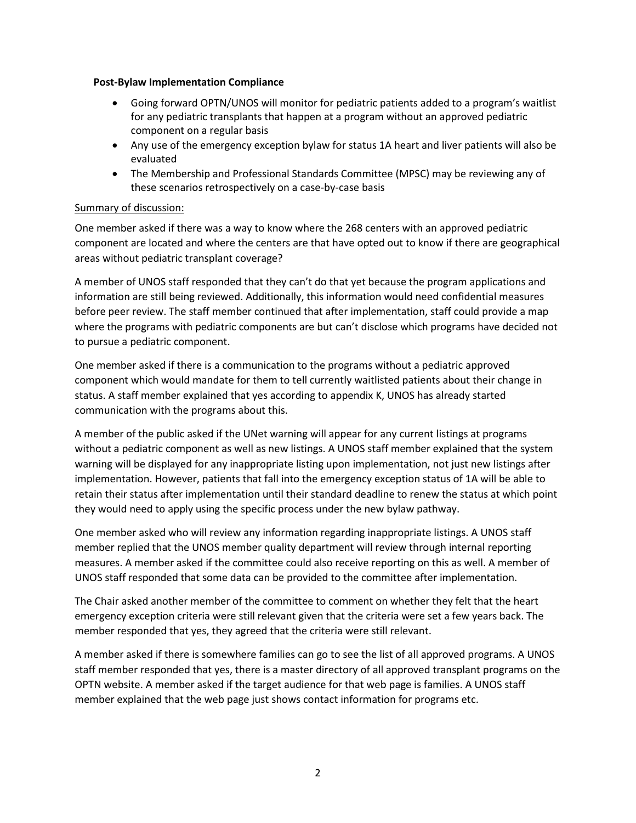#### **Post-Bylaw Implementation Compliance**

- Going forward OPTN/UNOS will monitor for pediatric patients added to a program's waitlist for any pediatric transplants that happen at a program without an approved pediatric component on a regular basis
- Any use of the emergency exception bylaw for status 1A heart and liver patients will also be evaluated
- The Membership and Professional Standards Committee (MPSC) may be reviewing any of these scenarios retrospectively on a case-by-case basis

## Summary of discussion:

One member asked if there was a way to know where the 268 centers with an approved pediatric component are located and where the centers are that have opted out to know if there are geographical areas without pediatric transplant coverage?

A member of UNOS staff responded that they can't do that yet because the program applications and information are still being reviewed. Additionally, this information would need confidential measures before peer review. The staff member continued that after implementation, staff could provide a map where the programs with pediatric components are but can't disclose which programs have decided not to pursue a pediatric component.

One member asked if there is a communication to the programs without a pediatric approved component which would mandate for them to tell currently waitlisted patients about their change in status. A staff member explained that yes according to appendix K, UNOS has already started communication with the programs about this.

A member of the public asked if the UNet warning will appear for any current listings at programs without a pediatric component as well as new listings. A UNOS staff member explained that the system warning will be displayed for any inappropriate listing upon implementation, not just new listings after implementation. However, patients that fall into the emergency exception status of 1A will be able to retain their status after implementation until their standard deadline to renew the status at which point they would need to apply using the specific process under the new bylaw pathway.

One member asked who will review any information regarding inappropriate listings. A UNOS staff member replied that the UNOS member quality department will review through internal reporting measures. A member asked if the committee could also receive reporting on this as well. A member of UNOS staff responded that some data can be provided to the committee after implementation.

The Chair asked another member of the committee to comment on whether they felt that the heart emergency exception criteria were still relevant given that the criteria were set a few years back. The member responded that yes, they agreed that the criteria were still relevant.

A member asked if there is somewhere families can go to see the list of all approved programs. A UNOS staff member responded that yes, there is a master directory of all approved transplant programs on the OPTN website. A member asked if the target audience for that web page is families. A UNOS staff member explained that the web page just shows contact information for programs etc.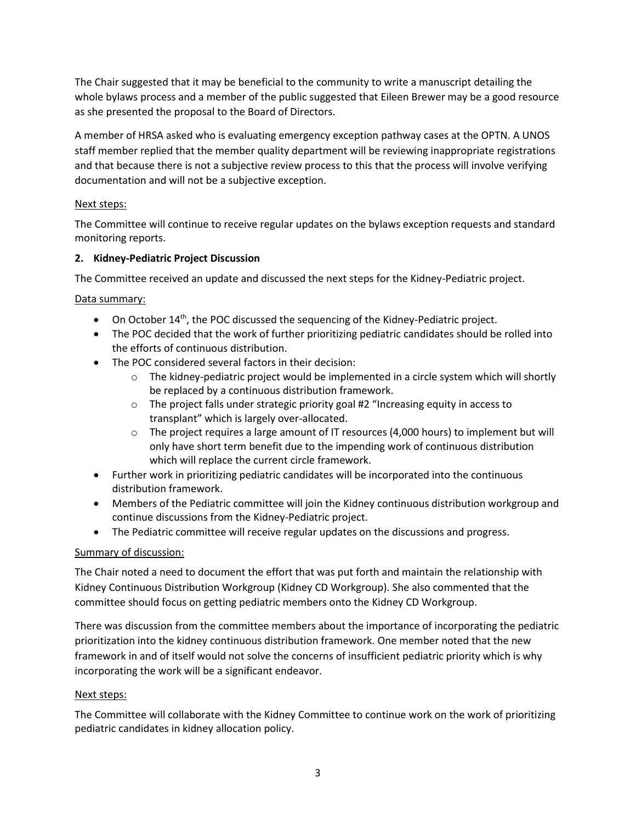The Chair suggested that it may be beneficial to the community to write a manuscript detailing the whole bylaws process and a member of the public suggested that Eileen Brewer may be a good resource as she presented the proposal to the Board of Directors.

A member of HRSA asked who is evaluating emergency exception pathway cases at the OPTN. A UNOS staff member replied that the member quality department will be reviewing inappropriate registrations and that because there is not a subjective review process to this that the process will involve verifying documentation and will not be a subjective exception.

## Next steps:

The Committee will continue to receive regular updates on the bylaws exception requests and standard monitoring reports.

## **2. Kidney-Pediatric Project Discussion**

The Committee received an update and discussed the next steps for the Kidney-Pediatric project.

## Data summary:

- $\bullet$  On October 14<sup>th</sup>, the POC discussed the sequencing of the Kidney-Pediatric project.
- The POC decided that the work of further prioritizing pediatric candidates should be rolled into the efforts of continuous distribution.
- The POC considered several factors in their decision:
	- $\circ$  The kidney-pediatric project would be implemented in a circle system which will shortly be replaced by a continuous distribution framework.
	- o The project falls under strategic priority goal #2 "Increasing equity in access to transplant" which is largely over-allocated.
	- $\circ$  The project requires a large amount of IT resources (4,000 hours) to implement but will only have short term benefit due to the impending work of continuous distribution which will replace the current circle framework.
- Further work in prioritizing pediatric candidates will be incorporated into the continuous distribution framework.
- Members of the Pediatric committee will join the Kidney continuous distribution workgroup and continue discussions from the Kidney-Pediatric project.
- The Pediatric committee will receive regular updates on the discussions and progress.

# Summary of discussion:

The Chair noted a need to document the effort that was put forth and maintain the relationship with Kidney Continuous Distribution Workgroup (Kidney CD Workgroup). She also commented that the committee should focus on getting pediatric members onto the Kidney CD Workgroup.

There was discussion from the committee members about the importance of incorporating the pediatric prioritization into the kidney continuous distribution framework. One member noted that the new framework in and of itself would not solve the concerns of insufficient pediatric priority which is why incorporating the work will be a significant endeavor.

## Next steps:

The Committee will collaborate with the Kidney Committee to continue work on the work of prioritizing pediatric candidates in kidney allocation policy.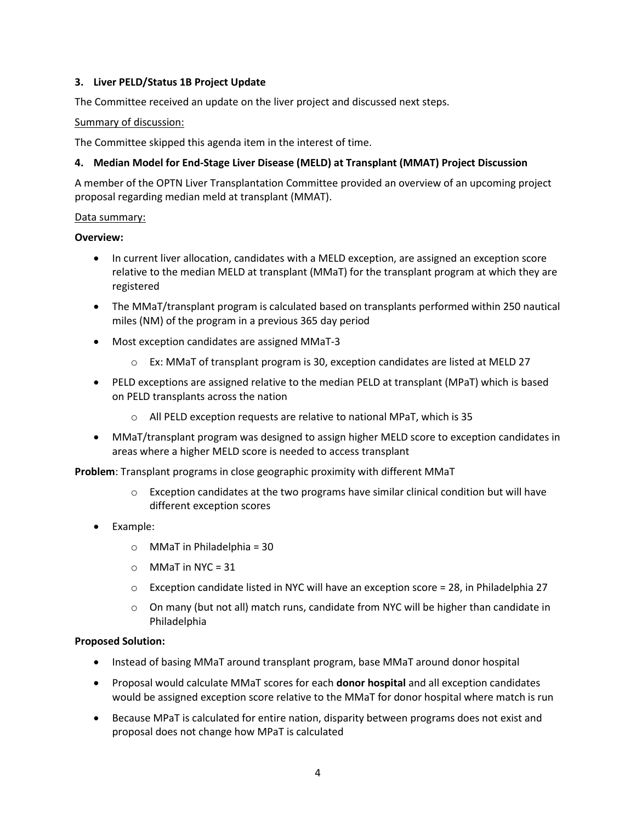## **3. Liver PELD/Status 1B Project Update**

The Committee received an update on the liver project and discussed next steps.

## Summary of discussion:

The Committee skipped this agenda item in the interest of time.

## **4. Median Model for End-Stage Liver Disease (MELD) at Transplant (MMAT) Project Discussion**

A member of the OPTN Liver Transplantation Committee provided an overview of an upcoming project proposal regarding median meld at transplant (MMAT).

## Data summary:

## **Overview:**

- In current liver allocation, candidates with a MELD exception, are assigned an exception score relative to the median MELD at transplant (MMaT) for the transplant program at which they are registered
- The MMaT/transplant program is calculated based on transplants performed within 250 nautical miles (NM) of the program in a previous 365 day period
- Most exception candidates are assigned MMaT-3
	- $\circ$  Ex: MMaT of transplant program is 30, exception candidates are listed at MELD 27
- PELD exceptions are assigned relative to the median PELD at transplant (MPaT) which is based on PELD transplants across the nation
	- o All PELD exception requests are relative to national MPaT, which is 35
- MMaT/transplant program was designed to assign higher MELD score to exception candidates in areas where a higher MELD score is needed to access transplant

**Problem**: Transplant programs in close geographic proximity with different MMaT

- $\circ$  Exception candidates at the two programs have similar clinical condition but will have different exception scores
- Example:
	- $\circ$  MMaT in Philadelphia = 30
	- $O$  MMaT in NYC = 31
	- $\circ$  Exception candidate listed in NYC will have an exception score = 28, in Philadelphia 27
	- $\circ$  On many (but not all) match runs, candidate from NYC will be higher than candidate in Philadelphia

## **Proposed Solution:**

- Instead of basing MMaT around transplant program, base MMaT around donor hospital
- Proposal would calculate MMaT scores for each **donor hospital** and all exception candidates would be assigned exception score relative to the MMaT for donor hospital where match is run
- Because MPaT is calculated for entire nation, disparity between programs does not exist and proposal does not change how MPaT is calculated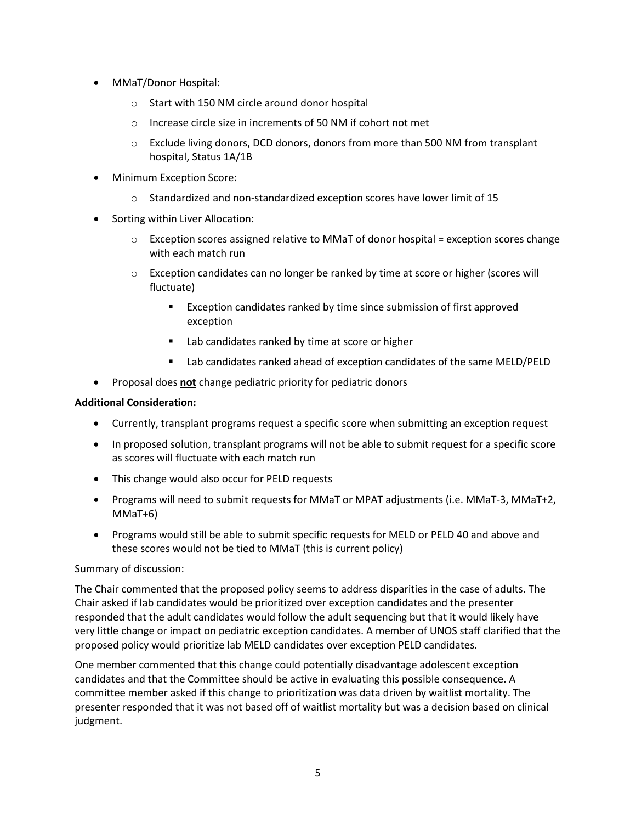- MMaT/Donor Hospital:
	- o Start with 150 NM circle around donor hospital
	- o Increase circle size in increments of 50 NM if cohort not met
	- $\circ$  Exclude living donors, DCD donors, donors from more than 500 NM from transplant hospital, Status 1A/1B
- Minimum Exception Score:
	- $\circ$  Standardized and non-standardized exception scores have lower limit of 15
- Sorting within Liver Allocation:
	- o Exception scores assigned relative to MMaT of donor hospital = exception scores change with each match run
	- $\circ$  Exception candidates can no longer be ranked by time at score or higher (scores will fluctuate)
		- **EXCEPT FIGURE 2** Exception candidates ranked by time since submission of first approved exception
		- Lab candidates ranked by time at score or higher
		- Lab candidates ranked ahead of exception candidates of the same MELD/PELD
- **•** Proposal does **not** change pediatric priority for pediatric donors

## **Additional Consideration:**

- Currently, transplant programs request a specific score when submitting an exception request
- In proposed solution, transplant programs will not be able to submit request for a specific score as scores will fluctuate with each match run
- This change would also occur for PELD requests
- Programs will need to submit requests for MMaT or MPAT adjustments (i.e. MMaT-3, MMaT+2, MMaT+6)
- Programs would still be able to submit specific requests for MELD or PELD 40 and above and these scores would not be tied to MMaT (this is current policy)

## Summary of discussion:

The Chair commented that the proposed policy seems to address disparities in the case of adults. The Chair asked if lab candidates would be prioritized over exception candidates and the presenter responded that the adult candidates would follow the adult sequencing but that it would likely have very little change or impact on pediatric exception candidates. A member of UNOS staff clarified that the proposed policy would prioritize lab MELD candidates over exception PELD candidates.

One member commented that this change could potentially disadvantage adolescent exception candidates and that the Committee should be active in evaluating this possible consequence. A committee member asked if this change to prioritization was data driven by waitlist mortality. The presenter responded that it was not based off of waitlist mortality but was a decision based on clinical judgment.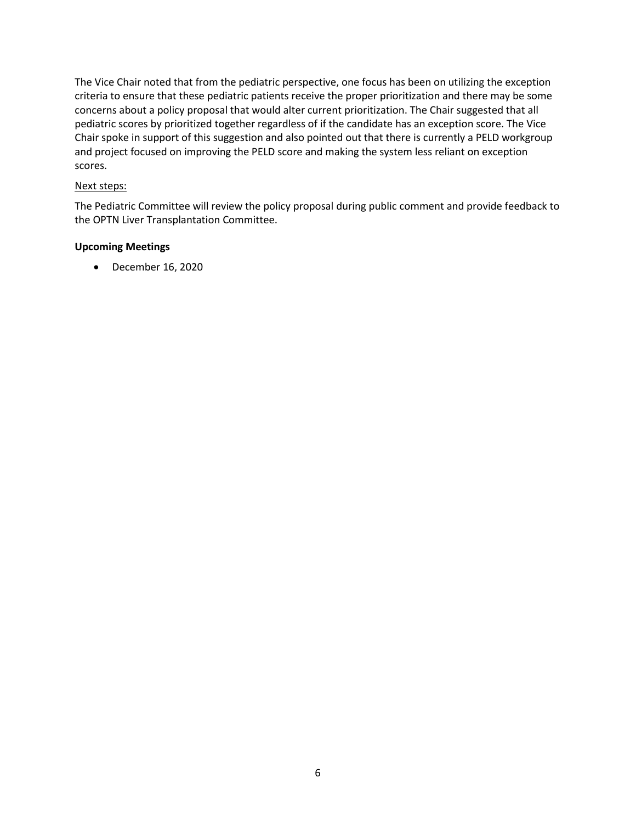The Vice Chair noted that from the pediatric perspective, one focus has been on utilizing the exception criteria to ensure that these pediatric patients receive the proper prioritization and there may be some concerns about a policy proposal that would alter current prioritization. The Chair suggested that all pediatric scores by prioritized together regardless of if the candidate has an exception score. The Vice Chair spoke in support of this suggestion and also pointed out that there is currently a PELD workgroup and project focused on improving the PELD score and making the system less reliant on exception scores.

## Next steps:

The Pediatric Committee will review the policy proposal during public comment and provide feedback to the OPTN Liver Transplantation Committee.

## **Upcoming Meetings**

December 16, 2020